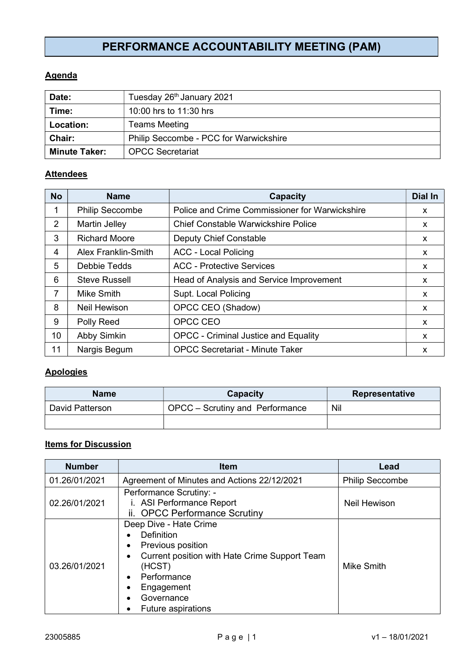# PERFORMANCE ACCOUNTABILITY MEETING (PAM)

## **Agenda**

| Date:                | Tuesday 26th January 2021              |  |
|----------------------|----------------------------------------|--|
| Time:                | 10:00 hrs to 11:30 hrs                 |  |
| Location:            | <b>Teams Meeting</b>                   |  |
| <b>Chair:</b>        | Philip Seccombe - PCC for Warwickshire |  |
| <b>Minute Taker:</b> | <b>OPCC Secretariat</b>                |  |

#### **Attendees**

| <b>No</b> | <b>Name</b>                | Capacity                                       | <b>Dial In</b> |
|-----------|----------------------------|------------------------------------------------|----------------|
| 1         | <b>Philip Seccombe</b>     | Police and Crime Commissioner for Warwickshire | X              |
| 2         | Martin Jelley              | <b>Chief Constable Warwickshire Police</b>     | X              |
| 3         | <b>Richard Moore</b>       | <b>Deputy Chief Constable</b>                  | <b>X</b>       |
| 4         | <b>Alex Franklin-Smith</b> | <b>ACC - Local Policing</b>                    | X              |
| 5         | <b>Debbie Tedds</b>        | <b>ACC - Protective Services</b>               | <b>X</b>       |
| 6         | <b>Steve Russell</b>       | Head of Analysis and Service Improvement       | x              |
| 7         | Mike Smith                 | Supt. Local Policing                           | x              |
| 8         | Neil Hewison               | OPCC CEO (Shadow)                              | X              |
| 9         | Polly Reed                 | OPCC CEO                                       | X              |
| 10        | Abby Simkin                | <b>OPCC - Criminal Justice and Equality</b>    | x              |
| 11        | Nargis Begum               | <b>OPCC Secretariat - Minute Taker</b>         | X              |

### **Apologies**

| <b>Name</b>     | Capacity                        | <b>Representative</b> |
|-----------------|---------------------------------|-----------------------|
| David Patterson | OPCC – Scrutiny and Performance | Nil                   |
|                 |                                 |                       |

# **Items for Discussion**

| <b>Number</b> | <b>Item</b>                                                                                                                                                                                  | Lead                   |
|---------------|----------------------------------------------------------------------------------------------------------------------------------------------------------------------------------------------|------------------------|
| 01.26/01/2021 | Agreement of Minutes and Actions 22/12/2021                                                                                                                                                  | <b>Philip Seccombe</b> |
| 02.26/01/2021 | Performance Scrutiny: -<br>i. ASI Performance Report<br>ii. OPCC Performance Scrutiny                                                                                                        | Neil Hewison           |
| 03.26/01/2021 | Deep Dive - Hate Crime<br>Definition<br>Previous position<br>Current position with Hate Crime Support Team<br>(HCST)<br>Performance<br>Engagement<br>Governance<br><b>Future aspirations</b> | Mike Smith             |